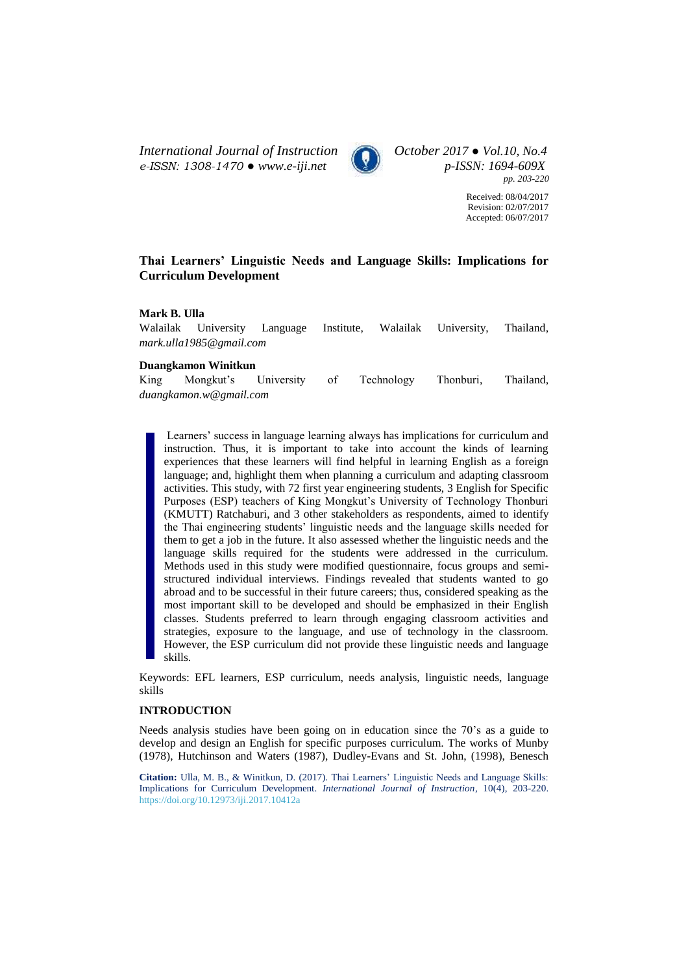*International Journal of Instruction October 2017 ● Vol.10, No.4 e-ISSN: 1308-1470 ● [www.e-iji.net](http://www.e-iji.net/) p-ISSN: 1694-609X*



*pp. 203-220*

Received: 08/04/2017 Revision: 02/07/2017 Accepted: 06/07/2017

# **Thai Learners' Linguistic Needs and Language Skills: Implications for Curriculum Development**

## **Mark B. Ulla**

Walailak University Language Institute, Walailak University, Thailand, *[mark.ulla1985@gmail.com](mailto:mark.ulla1985@gmail.com)*

## **Duangkamon Winitkun**

King Mongkut's University of Technology Thonburi, Thailand, *[duangkamon.w@gmail.com](mailto:duangkamon.w@gmail.com)*

Learners' success in language learning always has implications for curriculum and instruction. Thus, it is important to take into account the kinds of learning experiences that these learners will find helpful in learning English as a foreign language; and, highlight them when planning a curriculum and adapting classroom activities. This study, with 72 first year engineering students, 3 English for Specific Purposes (ESP) teachers of King Mongkut's University of Technology Thonburi (KMUTT) Ratchaburi, and 3 other stakeholders as respondents, aimed to identify the Thai engineering students' linguistic needs and the language skills needed for them to get a job in the future. It also assessed whether the linguistic needs and the language skills required for the students were addressed in the curriculum. Methods used in this study were modified questionnaire, focus groups and semistructured individual interviews. Findings revealed that students wanted to go abroad and to be successful in their future careers; thus, considered speaking as the most important skill to be developed and should be emphasized in their English classes. Students preferred to learn through engaging classroom activities and strategies, exposure to the language, and use of technology in the classroom. However, the ESP curriculum did not provide these linguistic needs and language skills.

Keywords: EFL learners, ESP curriculum, needs analysis, linguistic needs, language skills

## **INTRODUCTION**

Needs analysis studies have been going on in education since the 70's as a guide to develop and design an English for specific purposes curriculum. The works of Munby (1978), Hutchinson and Waters (1987), Dudley-Evans and St. John, (1998), Benesch

**Citation:** Ulla, M. B., & Winitkun, D. (2017). Thai Learners' Linguistic Needs and Language Skills: Implications for Curriculum Development. *International Journal of Instruction*, 10(4), 203-220. <https://doi.org/10.12973/iji.2017.10412a>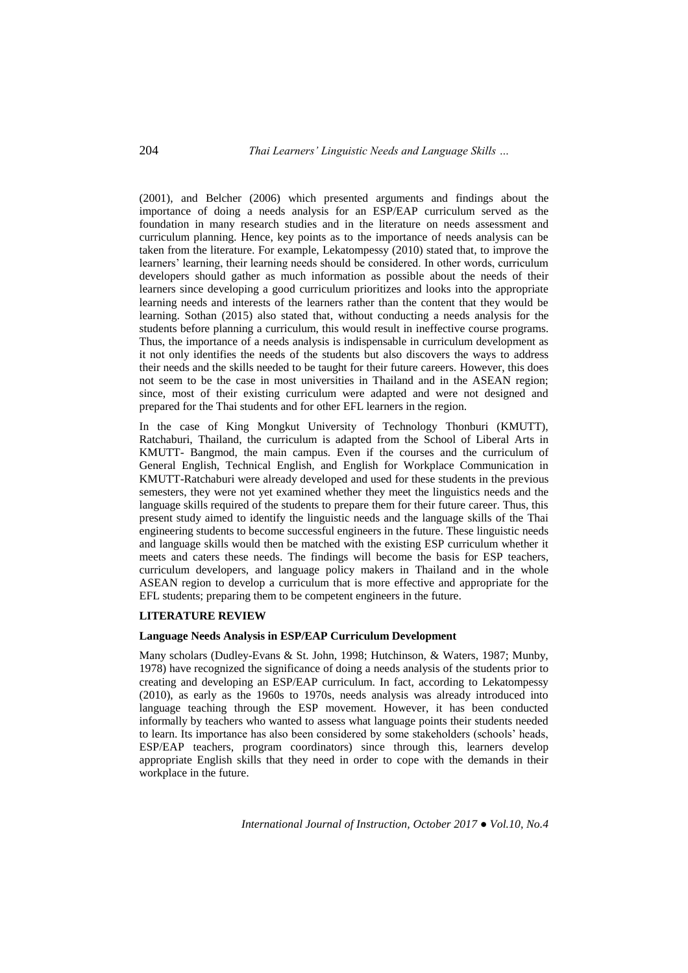(2001), and Belcher (2006) which presented arguments and findings about the importance of doing a needs analysis for an ESP/EAP curriculum served as the foundation in many research studies and in the literature on needs assessment and curriculum planning. Hence, key points as to the importance of needs analysis can be taken from the literature. For example, Lekatompessy (2010) stated that, to improve the learners' learning, their learning needs should be considered. In other words, curriculum developers should gather as much information as possible about the needs of their learners since developing a good curriculum prioritizes and looks into the appropriate learning needs and interests of the learners rather than the content that they would be learning. Sothan (2015) also stated that, without conducting a needs analysis for the students before planning a curriculum, this would result in ineffective course programs. Thus, the importance of a needs analysis is indispensable in curriculum development as it not only identifies the needs of the students but also discovers the ways to address their needs and the skills needed to be taught for their future careers. However, this does not seem to be the case in most universities in Thailand and in the ASEAN region; since, most of their existing curriculum were adapted and were not designed and prepared for the Thai students and for other EFL learners in the region.

In the case of King Mongkut University of Technology Thonburi (KMUTT), Ratchaburi, Thailand, the curriculum is adapted from the School of Liberal Arts in KMUTT- Bangmod, the main campus. Even if the courses and the curriculum of General English, Technical English, and English for Workplace Communication in KMUTT-Ratchaburi were already developed and used for these students in the previous semesters, they were not yet examined whether they meet the linguistics needs and the language skills required of the students to prepare them for their future career. Thus, this present study aimed to identify the linguistic needs and the language skills of the Thai engineering students to become successful engineers in the future. These linguistic needs and language skills would then be matched with the existing ESP curriculum whether it meets and caters these needs. The findings will become the basis for ESP teachers, curriculum developers, and language policy makers in Thailand and in the whole ASEAN region to develop a curriculum that is more effective and appropriate for the EFL students; preparing them to be competent engineers in the future.

## **LITERATURE REVIEW**

### **Language Needs Analysis in ESP/EAP Curriculum Development**

Many scholars (Dudley-Evans & St. John, 1998; Hutchinson, & Waters, 1987; Munby, 1978) have recognized the significance of doing a needs analysis of the students prior to creating and developing an ESP/EAP curriculum. In fact, according to Lekatompessy (2010), as early as the 1960s to 1970s, needs analysis was already introduced into language teaching through the ESP movement. However, it has been conducted informally by teachers who wanted to assess what language points their students needed to learn. Its importance has also been considered by some stakeholders (schools' heads, ESP/EAP teachers, program coordinators) since through this, learners develop appropriate English skills that they need in order to cope with the demands in their workplace in the future.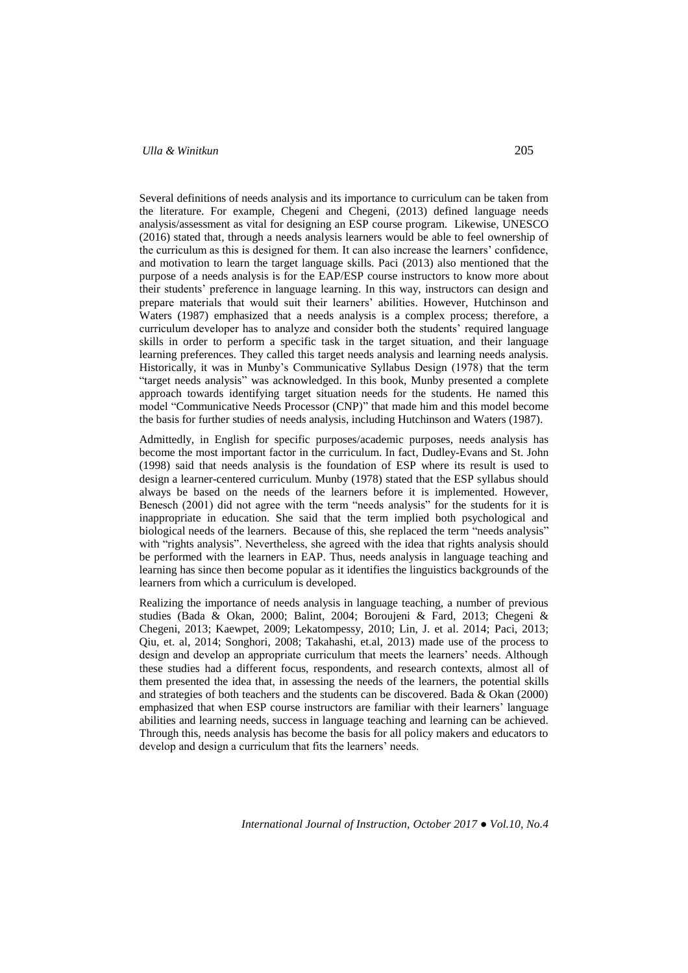Several definitions of needs analysis and its importance to curriculum can be taken from the literature. For example, Chegeni and Chegeni, (2013) defined language needs analysis/assessment as vital for designing an ESP course program. Likewise, UNESCO (2016) stated that, through a needs analysis learners would be able to feel ownership of the curriculum as this is designed for them. It can also increase the learners' confidence, and motivation to learn the target language skills. Paci (2013) also mentioned that the purpose of a needs analysis is for the EAP/ESP course instructors to know more about their students' preference in language learning. In this way, instructors can design and prepare materials that would suit their learners' abilities. However, Hutchinson and Waters (1987) emphasized that a needs analysis is a complex process; therefore, a curriculum developer has to analyze and consider both the students' required language skills in order to perform a specific task in the target situation, and their language learning preferences. They called this target needs analysis and learning needs analysis. Historically, it was in Munby's Communicative Syllabus Design (1978) that the term "target needs analysis" was acknowledged. In this book, Munby presented a complete approach towards identifying target situation needs for the students. He named this model "Communicative Needs Processor (CNP)" that made him and this model become the basis for further studies of needs analysis, including Hutchinson and Waters (1987).

Admittedly, in English for specific purposes/academic purposes, needs analysis has become the most important factor in the curriculum. In fact, Dudley-Evans and St. John (1998) said that needs analysis is the foundation of ESP where its result is used to design a learner-centered curriculum. Munby (1978) stated that the ESP syllabus should always be based on the needs of the learners before it is implemented. However, Benesch (2001) did not agree with the term "needs analysis" for the students for it is inappropriate in education. She said that the term implied both psychological and biological needs of the learners. Because of this, she replaced the term "needs analysis" with "rights analysis". Nevertheless, she agreed with the idea that rights analysis should be performed with the learners in EAP. Thus, needs analysis in language teaching and learning has since then become popular as it identifies the linguistics backgrounds of the learners from which a curriculum is developed.

Realizing the importance of needs analysis in language teaching, a number of previous studies (Bada & Okan, 2000; Balint, 2004; Boroujeni & Fard, 2013; Chegeni & Chegeni, 2013; Kaewpet, 2009; Lekatompessy, 2010; Lin, J. et al. 2014; Paci, 2013; Qiu, et. al, 2014; Songhori, 2008; Takahashi, et.al, 2013) made use of the process to design and develop an appropriate curriculum that meets the learners' needs. Although these studies had a different focus, respondents, and research contexts, almost all of them presented the idea that, in assessing the needs of the learners, the potential skills and strategies of both teachers and the students can be discovered. Bada & Okan (2000) emphasized that when ESP course instructors are familiar with their learners' language abilities and learning needs, success in language teaching and learning can be achieved. Through this, needs analysis has become the basis for all policy makers and educators to develop and design a curriculum that fits the learners' needs.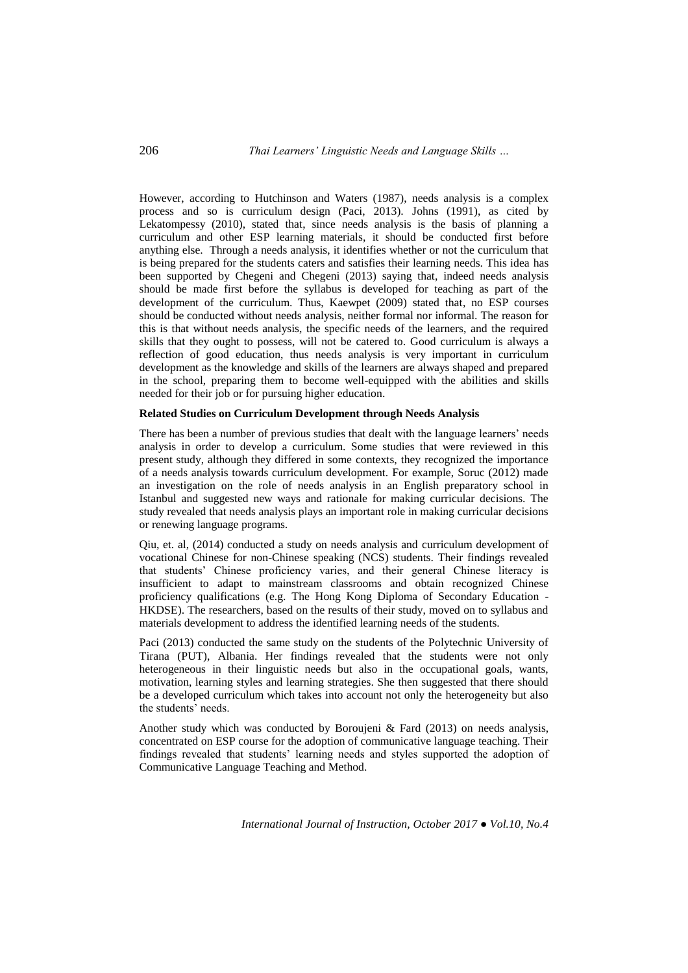However, according to Hutchinson and Waters (1987), needs analysis is a complex process and so is curriculum design (Paci, 2013). Johns (1991), as cited by Lekatompessy (2010), stated that, since needs analysis is the basis of planning a curriculum and other ESP learning materials, it should be conducted first before anything else. Through a needs analysis, it identifies whether or not the curriculum that is being prepared for the students caters and satisfies their learning needs. This idea has been supported by Chegeni and Chegeni (2013) saying that, indeed needs analysis should be made first before the syllabus is developed for teaching as part of the development of the curriculum. Thus, Kaewpet (2009) stated that, no ESP courses should be conducted without needs analysis, neither formal nor informal. The reason for this is that without needs analysis, the specific needs of the learners, and the required skills that they ought to possess, will not be catered to. Good curriculum is always a reflection of good education, thus needs analysis is very important in curriculum development as the knowledge and skills of the learners are always shaped and prepared in the school, preparing them to become well-equipped with the abilities and skills needed for their job or for pursuing higher education.

## **Related Studies on Curriculum Development through Needs Analysis**

There has been a number of previous studies that dealt with the language learners' needs analysis in order to develop a curriculum. Some studies that were reviewed in this present study, although they differed in some contexts, they recognized the importance of a needs analysis towards curriculum development. For example, Soruc (2012) made an investigation on the role of needs analysis in an English preparatory school in Istanbul and suggested new ways and rationale for making curricular decisions. The study revealed that needs analysis plays an important role in making curricular decisions or renewing language programs.

Qiu, et. al, (2014) conducted a study on needs analysis and curriculum development of vocational Chinese for non-Chinese speaking (NCS) students. Their findings revealed that students' Chinese proficiency varies, and their general Chinese literacy is insufficient to adapt to mainstream classrooms and obtain recognized Chinese proficiency qualifications (e.g. The Hong Kong Diploma of Secondary Education - HKDSE). The researchers, based on the results of their study, moved on to syllabus and materials development to address the identified learning needs of the students.

Paci (2013) conducted the same study on the students of the Polytechnic University of Tirana (PUT), Albania. Her findings revealed that the students were not only heterogeneous in their linguistic needs but also in the occupational goals, wants, motivation, learning styles and learning strategies. She then suggested that there should be a developed curriculum which takes into account not only the heterogeneity but also the students' needs.

Another study which was conducted by Boroujeni  $&$  Fard (2013) on needs analysis, concentrated on ESP course for the adoption of communicative language teaching. Their findings revealed that students' learning needs and styles supported the adoption of Communicative Language Teaching and Method.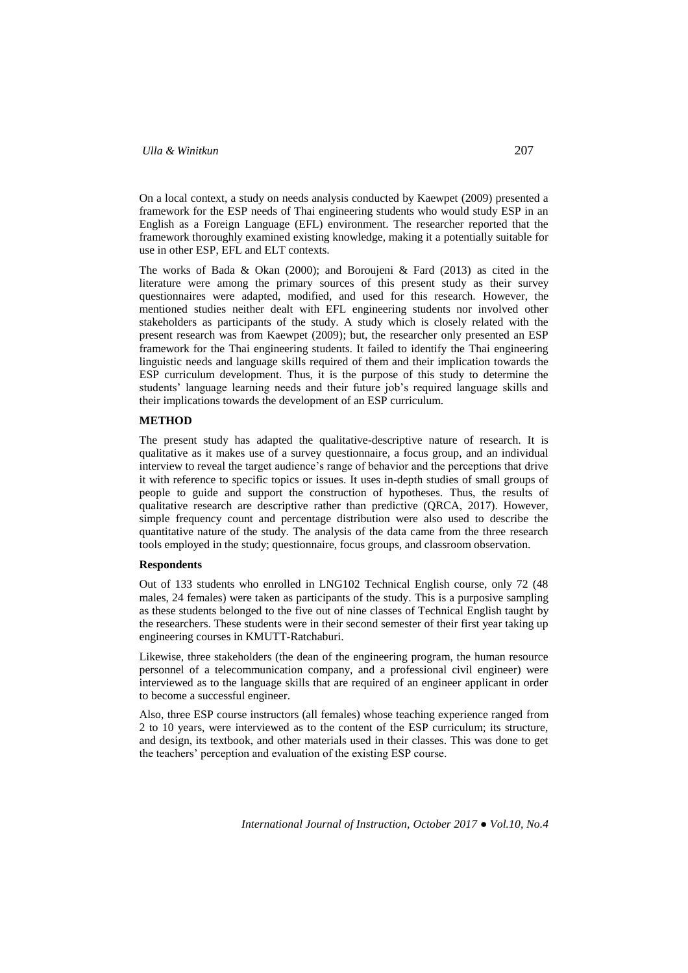On a local context, a study on needs analysis conducted by Kaewpet (2009) presented a framework for the ESP needs of Thai engineering students who would study ESP in an English as a Foreign Language (EFL) environment. The researcher reported that the framework thoroughly examined existing knowledge, making it a potentially suitable for use in other ESP, EFL and ELT contexts.

The works of Bada & Okan (2000); and Boroujeni & Fard (2013) as cited in the literature were among the primary sources of this present study as their survey questionnaires were adapted, modified, and used for this research. However, the mentioned studies neither dealt with EFL engineering students nor involved other stakeholders as participants of the study. A study which is closely related with the present research was from Kaewpet (2009); but, the researcher only presented an ESP framework for the Thai engineering students. It failed to identify the Thai engineering linguistic needs and language skills required of them and their implication towards the ESP curriculum development. Thus, it is the purpose of this study to determine the students' language learning needs and their future job's required language skills and their implications towards the development of an ESP curriculum.

### **METHOD**

The present study has adapted the qualitative-descriptive nature of research. It is qualitative as it makes use of a survey questionnaire, a focus group, and an individual interview to reveal the target audience's range of behavior and the perceptions that drive it with reference to specific topics or issues. It uses in-depth studies of small groups of people to guide and support the construction of hypotheses. Thus, the results of qualitative research are descriptive rather than predictive (QRCA, 2017). However, simple frequency count and percentage distribution were also used to describe the quantitative nature of the study. The analysis of the data came from the three research tools employed in the study; questionnaire, focus groups, and classroom observation.

## **Respondents**

Out of 133 students who enrolled in LNG102 Technical English course, only 72 (48 males, 24 females) were taken as participants of the study. This is a purposive sampling as these students belonged to the five out of nine classes of Technical English taught by the researchers. These students were in their second semester of their first year taking up engineering courses in KMUTT-Ratchaburi.

Likewise, three stakeholders (the dean of the engineering program, the human resource personnel of a telecommunication company, and a professional civil engineer) were interviewed as to the language skills that are required of an engineer applicant in order to become a successful engineer.

Also, three ESP course instructors (all females) whose teaching experience ranged from 2 to 10 years, were interviewed as to the content of the ESP curriculum; its structure, and design, its textbook, and other materials used in their classes. This was done to get the teachers' perception and evaluation of the existing ESP course.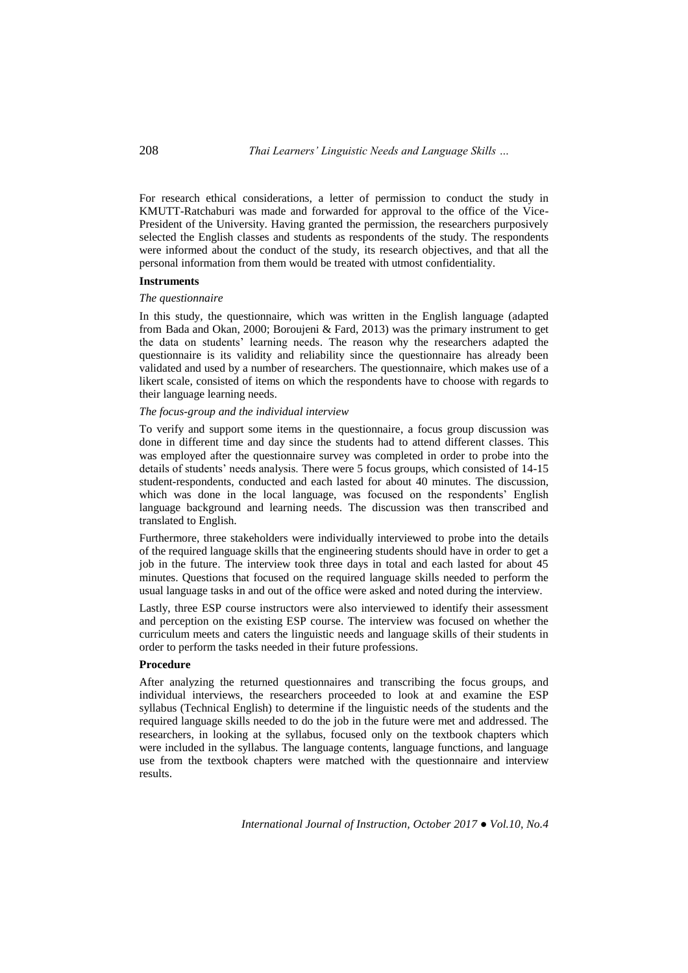208 *Thai Learners' Linguistic Needs and Language Skills …*

For research ethical considerations, a letter of permission to conduct the study in KMUTT-Ratchaburi was made and forwarded for approval to the office of the Vice-President of the University. Having granted the permission, the researchers purposively selected the English classes and students as respondents of the study. The respondents were informed about the conduct of the study, its research objectives, and that all the personal information from them would be treated with utmost confidentiality.

## **Instruments**

## *The questionnaire*

In this study, the questionnaire, which was written in the English language (adapted from Bada and Okan, 2000; Boroujeni & Fard, 2013) was the primary instrument to get the data on students' learning needs. The reason why the researchers adapted the questionnaire is its validity and reliability since the questionnaire has already been validated and used by a number of researchers. The questionnaire, which makes use of a likert scale, consisted of items on which the respondents have to choose with regards to their language learning needs.

## *The focus-group and the individual interview*

To verify and support some items in the questionnaire, a focus group discussion was done in different time and day since the students had to attend different classes. This was employed after the questionnaire survey was completed in order to probe into the details of students' needs analysis. There were 5 focus groups, which consisted of 14-15 student-respondents, conducted and each lasted for about 40 minutes. The discussion, which was done in the local language, was focused on the respondents' English language background and learning needs. The discussion was then transcribed and translated to English.

Furthermore, three stakeholders were individually interviewed to probe into the details of the required language skills that the engineering students should have in order to get a job in the future. The interview took three days in total and each lasted for about 45 minutes. Questions that focused on the required language skills needed to perform the usual language tasks in and out of the office were asked and noted during the interview.

Lastly, three ESP course instructors were also interviewed to identify their assessment and perception on the existing ESP course. The interview was focused on whether the curriculum meets and caters the linguistic needs and language skills of their students in order to perform the tasks needed in their future professions.

## **Procedure**

After analyzing the returned questionnaires and transcribing the focus groups, and individual interviews, the researchers proceeded to look at and examine the ESP syllabus (Technical English) to determine if the linguistic needs of the students and the required language skills needed to do the job in the future were met and addressed. The researchers, in looking at the syllabus, focused only on the textbook chapters which were included in the syllabus. The language contents, language functions, and language use from the textbook chapters were matched with the questionnaire and interview results.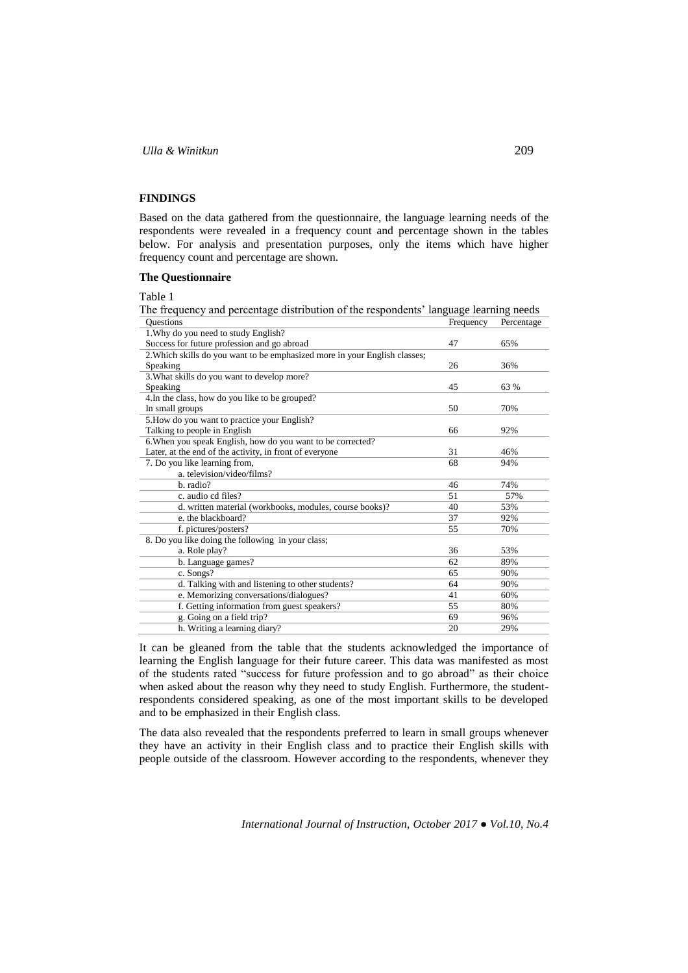## **FINDINGS**

Based on the data gathered from the questionnaire, the language learning needs of the respondents were revealed in a frequency count and percentage shown in the tables below. For analysis and presentation purposes, only the items which have higher frequency count and percentage are shown.

## **The Questionnaire**

Table 1

The frequency and percentage distribution of the respondents' language learning needs Questions **Frequency** Percentage **Percentage** Percentage **Percentage** Percentage

| o ucstions                                                                 | ricquelle | T Creditage |
|----------------------------------------------------------------------------|-----------|-------------|
| 1. Why do you need to study English?                                       |           |             |
| Success for future profession and go abroad                                | 47        | 65%         |
| 2. Which skills do you want to be emphasized more in your English classes; |           |             |
| Speaking                                                                   | 26        | 36%         |
| 3. What skills do you want to develop more?                                |           |             |
| Speaking                                                                   | 45        | 63 %        |
| 4. In the class, how do you like to be grouped?                            |           |             |
| In small groups                                                            | 50        | 70%         |
| 5. How do you want to practice your English?                               |           |             |
| Talking to people in English                                               | 66        | 92%         |
| 6. When you speak English, how do you want to be corrected?                |           |             |
| Later, at the end of the activity, in front of everyone                    | 31        | 46%         |
| 7. Do you like learning from,                                              | 68        | 94%         |
| a. television/video/films?                                                 |           |             |
| b. radio?                                                                  | 46        | 74%         |
| c. audio cd files?                                                         | 51        | 57%         |
| d. written material (workbooks, modules, course books)?                    | 40        | 53%         |
| e, the blackboard?                                                         | 37        | 92%         |
| f. pictures/posters?                                                       | 55        | 70%         |
| 8. Do you like doing the following in your class;                          |           |             |
| a. Role play?                                                              | 36        | 53%         |
| b. Language games?                                                         | 62        | 89%         |
| c. Songs?                                                                  | 65        | 90%         |
| d. Talking with and listening to other students?                           | 64        | 90%         |
| e. Memorizing conversations/dialogues?                                     | 41        | 60%         |
| f. Getting information from guest speakers?                                | 55        | 80%         |
| g. Going on a field trip?                                                  | 69        | 96%         |
| h. Writing a learning diary?                                               | 20        | 29%         |
|                                                                            |           |             |

It can be gleaned from the table that the students acknowledged the importance of learning the English language for their future career. This data was manifested as most of the students rated "success for future profession and to go abroad" as their choice when asked about the reason why they need to study English. Furthermore, the studentrespondents considered speaking, as one of the most important skills to be developed and to be emphasized in their English class.

The data also revealed that the respondents preferred to learn in small groups whenever they have an activity in their English class and to practice their English skills with people outside of the classroom. However according to the respondents, whenever they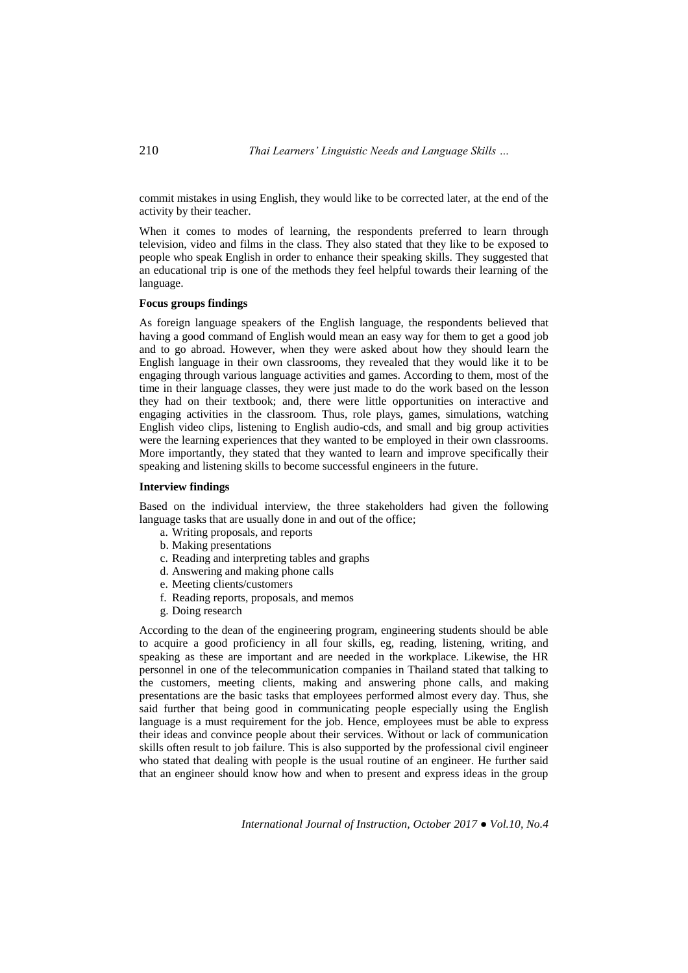commit mistakes in using English, they would like to be corrected later, at the end of the activity by their teacher.

When it comes to modes of learning, the respondents preferred to learn through television, video and films in the class. They also stated that they like to be exposed to people who speak English in order to enhance their speaking skills. They suggested that an educational trip is one of the methods they feel helpful towards their learning of the language.

## **Focus groups findings**

As foreign language speakers of the English language, the respondents believed that having a good command of English would mean an easy way for them to get a good job and to go abroad. However, when they were asked about how they should learn the English language in their own classrooms, they revealed that they would like it to be engaging through various language activities and games. According to them, most of the time in their language classes, they were just made to do the work based on the lesson they had on their textbook; and, there were little opportunities on interactive and engaging activities in the classroom. Thus, role plays, games, simulations, watching English video clips, listening to English audio-cds, and small and big group activities were the learning experiences that they wanted to be employed in their own classrooms. More importantly, they stated that they wanted to learn and improve specifically their speaking and listening skills to become successful engineers in the future.

## **Interview findings**

Based on the individual interview, the three stakeholders had given the following language tasks that are usually done in and out of the office;

- a. Writing proposals, and reports
- b. Making presentations
- c. Reading and interpreting tables and graphs
- d. Answering and making phone calls
- e. Meeting clients/customers
- f. Reading reports, proposals, and memos
- g. Doing research

According to the dean of the engineering program, engineering students should be able to acquire a good proficiency in all four skills, eg, reading, listening, writing, and speaking as these are important and are needed in the workplace. Likewise, the HR personnel in one of the telecommunication companies in Thailand stated that talking to the customers, meeting clients, making and answering phone calls, and making presentations are the basic tasks that employees performed almost every day. Thus, she said further that being good in communicating people especially using the English language is a must requirement for the job. Hence, employees must be able to express their ideas and convince people about their services. Without or lack of communication skills often result to job failure. This is also supported by the professional civil engineer who stated that dealing with people is the usual routine of an engineer. He further said that an engineer should know how and when to present and express ideas in the group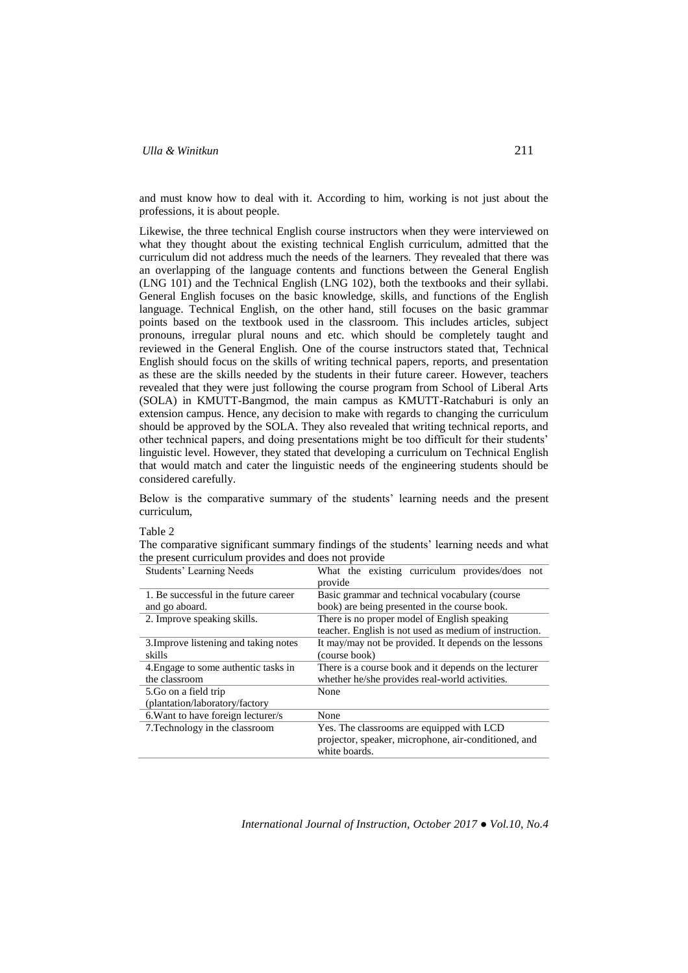and must know how to deal with it. According to him, working is not just about the professions, it is about people.

Likewise, the three technical English course instructors when they were interviewed on what they thought about the existing technical English curriculum, admitted that the curriculum did not address much the needs of the learners. They revealed that there was an overlapping of the language contents and functions between the General English (LNG 101) and the Technical English (LNG 102), both the textbooks and their syllabi. General English focuses on the basic knowledge, skills, and functions of the English language. Technical English, on the other hand, still focuses on the basic grammar points based on the textbook used in the classroom. This includes articles, subject pronouns, irregular plural nouns and etc. which should be completely taught and reviewed in the General English. One of the course instructors stated that, Technical English should focus on the skills of writing technical papers, reports, and presentation as these are the skills needed by the students in their future career. However, teachers revealed that they were just following the course program from School of Liberal Arts (SOLA) in KMUTT-Bangmod, the main campus as KMUTT-Ratchaburi is only an extension campus. Hence, any decision to make with regards to changing the curriculum should be approved by the SOLA. They also revealed that writing technical reports, and other technical papers, and doing presentations might be too difficult for their students' linguistic level. However, they stated that developing a curriculum on Technical English that would match and cater the linguistic needs of the engineering students should be considered carefully.

Below is the comparative summary of the students' learning needs and the present curriculum,

#### Table 2

The comparative significant summary findings of the students' learning needs and what the present curriculum provides and does not provide

| Students' Learning Needs              | What the existing curriculum provides/does not         |  |  |
|---------------------------------------|--------------------------------------------------------|--|--|
|                                       | provide                                                |  |  |
| 1. Be successful in the future career | Basic grammar and technical vocabulary (course)        |  |  |
| and go aboard.                        | book) are being presented in the course book.          |  |  |
| 2. Improve speaking skills.           | There is no proper model of English speaking           |  |  |
|                                       | teacher. English is not used as medium of instruction. |  |  |
| 3. Improve listening and taking notes | It may/may not be provided. It depends on the lessons  |  |  |
| skills                                | (course book)                                          |  |  |
| 4. Engage to some authentic tasks in  | There is a course book and it depends on the lecturer  |  |  |
| the classroom                         | whether he/she provides real-world activities.         |  |  |
| 5. Go on a field trip                 | None                                                   |  |  |
| (plantation/laboratory/factory        |                                                        |  |  |
| 6. Want to have foreign lecturer/s    | None                                                   |  |  |
| 7. Technology in the classroom        | Yes. The classrooms are equipped with LCD              |  |  |
|                                       | projector, speaker, microphone, air-conditioned, and   |  |  |
|                                       | white boards.                                          |  |  |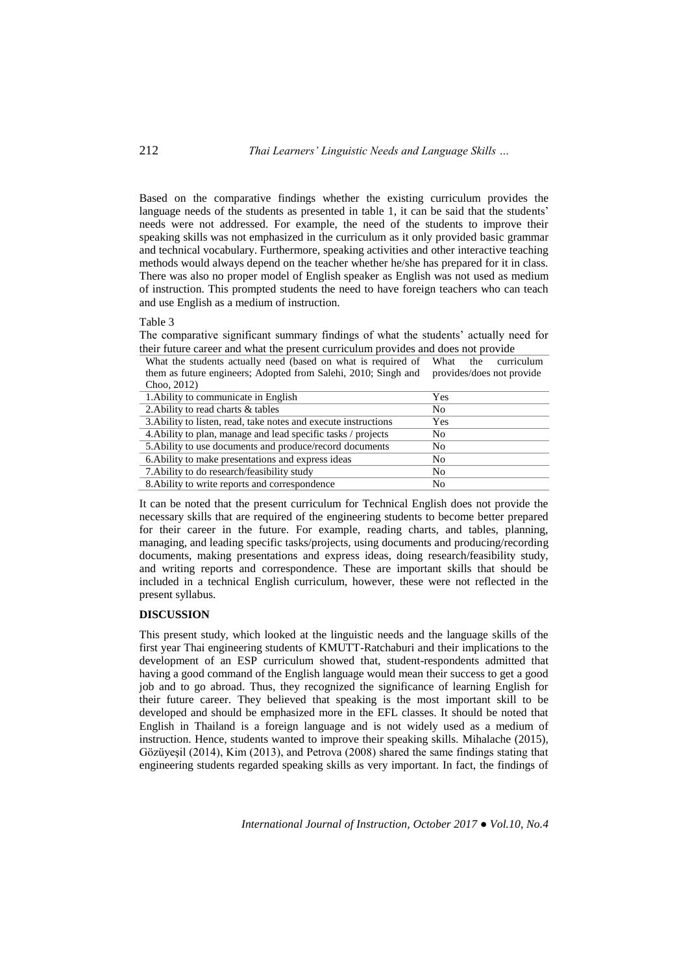Based on the comparative findings whether the existing curriculum provides the language needs of the students as presented in table 1, it can be said that the students' needs were not addressed. For example, the need of the students to improve their speaking skills was not emphasized in the curriculum as it only provided basic grammar and technical vocabulary. Furthermore, speaking activities and other interactive teaching methods would always depend on the teacher whether he/she has prepared for it in class. There was also no proper model of English speaker as English was not used as medium of instruction. This prompted students the need to have foreign teachers who can teach and use English as a medium of instruction.

### Table 3

The comparative significant summary findings of what the students' actually need for their future career and what the present curriculum provides and does not provide

| What the students actually need (based on what is required of What the curriculum        |  |  |
|------------------------------------------------------------------------------------------|--|--|
| them as future engineers; Adopted from Salehi, 2010; Singh and provides/does not provide |  |  |
| Choo, 2012)                                                                              |  |  |

| 1. Ability to communicate in English                            | Yes |  |
|-----------------------------------------------------------------|-----|--|
| 2. Ability to read charts & tables                              | No  |  |
| 3. Ability to listen, read, take notes and execute instructions | Yes |  |
| 4. Ability to plan, manage and lead specific tasks / projects   | No  |  |
| 5. Ability to use documents and produce/record documents        | No  |  |
| 6. A bility to make presentations and express ideas             | No  |  |
| 7. A bility to do research/feasibility study                    | No  |  |
| 8. Ability to write reports and correspondence                  | No  |  |

It can be noted that the present curriculum for Technical English does not provide the necessary skills that are required of the engineering students to become better prepared for their career in the future. For example, reading charts, and tables, planning, managing, and leading specific tasks/projects, using documents and producing/recording documents, making presentations and express ideas, doing research/feasibility study, and writing reports and correspondence. These are important skills that should be included in a technical English curriculum, however, these were not reflected in the present syllabus.

## **DISCUSSION**

This present study, which looked at the linguistic needs and the language skills of the first year Thai engineering students of KMUTT-Ratchaburi and their implications to the development of an ESP curriculum showed that, student-respondents admitted that having a good command of the English language would mean their success to get a good job and to go abroad. Thus, they recognized the significance of learning English for their future career. They believed that speaking is the most important skill to be developed and should be emphasized more in the EFL classes. It should be noted that English in Thailand is a foreign language and is not widely used as a medium of instruction. Hence, students wanted to improve their speaking skills. Mihalache (2015), Gözüyeşil (2014), Kim (2013), and Petrova (2008) shared the same findings stating that engineering students regarded speaking skills as very important. In fact, the findings of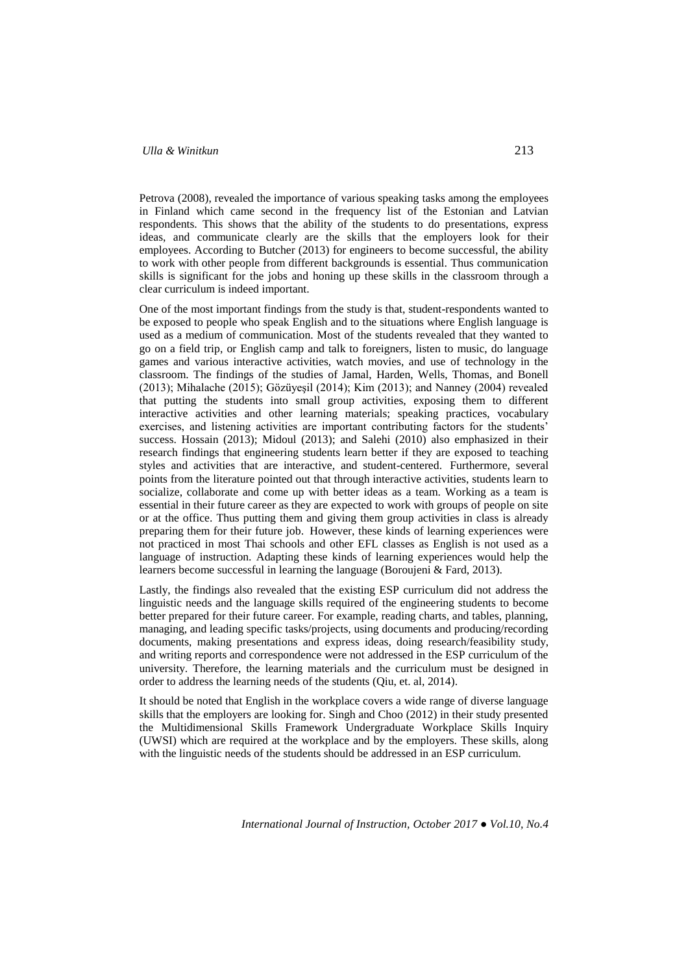Petrova (2008), revealed the importance of various speaking tasks among the employees in Finland which came second in the frequency list of the Estonian and Latvian respondents. This shows that the ability of the students to do presentations, express ideas, and communicate clearly are the skills that the employers look for their employees. According to Butcher (2013) for engineers to become successful, the ability to work with other people from different backgrounds is essential. Thus communication skills is significant for the jobs and honing up these skills in the classroom through a clear curriculum is indeed important.

One of the most important findings from the study is that, student-respondents wanted to be exposed to people who speak English and to the situations where English language is used as a medium of communication. Most of the students revealed that they wanted to go on a field trip, or English camp and talk to foreigners, listen to music, do language games and various interactive activities, watch movies, and use of technology in the classroom. The findings of the studies of Jamal, Harden, Wells, Thomas, and Bonell (2013); Mihalache (2015); Gözüyeşil (2014); Kim (2013); and Nanney (2004) revealed that putting the students into small group activities, exposing them to different interactive activities and other learning materials; speaking practices, vocabulary exercises, and listening activities are important contributing factors for the students' success. Hossain (2013); Midoul (2013); and Salehi (2010) also emphasized in their research findings that engineering students learn better if they are exposed to teaching styles and activities that are interactive, and student-centered. Furthermore, several points from the literature pointed out that through interactive activities, students learn to socialize, collaborate and come up with better ideas as a team. Working as a team is essential in their future career as they are expected to work with groups of people on site or at the office. Thus putting them and giving them group activities in class is already preparing them for their future job. However, these kinds of learning experiences were not practiced in most Thai schools and other EFL classes as English is not used as a language of instruction. Adapting these kinds of learning experiences would help the learners become successful in learning the language (Boroujeni & Fard, 2013).

Lastly, the findings also revealed that the existing ESP curriculum did not address the linguistic needs and the language skills required of the engineering students to become better prepared for their future career. For example, reading charts, and tables, planning, managing, and leading specific tasks/projects, using documents and producing/recording documents, making presentations and express ideas, doing research/feasibility study, and writing reports and correspondence were not addressed in the ESP curriculum of the university. Therefore, the learning materials and the curriculum must be designed in order to address the learning needs of the students (Qiu, et. al, 2014).

It should be noted that English in the workplace covers a wide range of diverse language skills that the employers are looking for. Singh and Choo (2012) in their study presented the Multidimensional Skills Framework Undergraduate Workplace Skills Inquiry (UWSI) which are required at the workplace and by the employers. These skills, along with the linguistic needs of the students should be addressed in an ESP curriculum.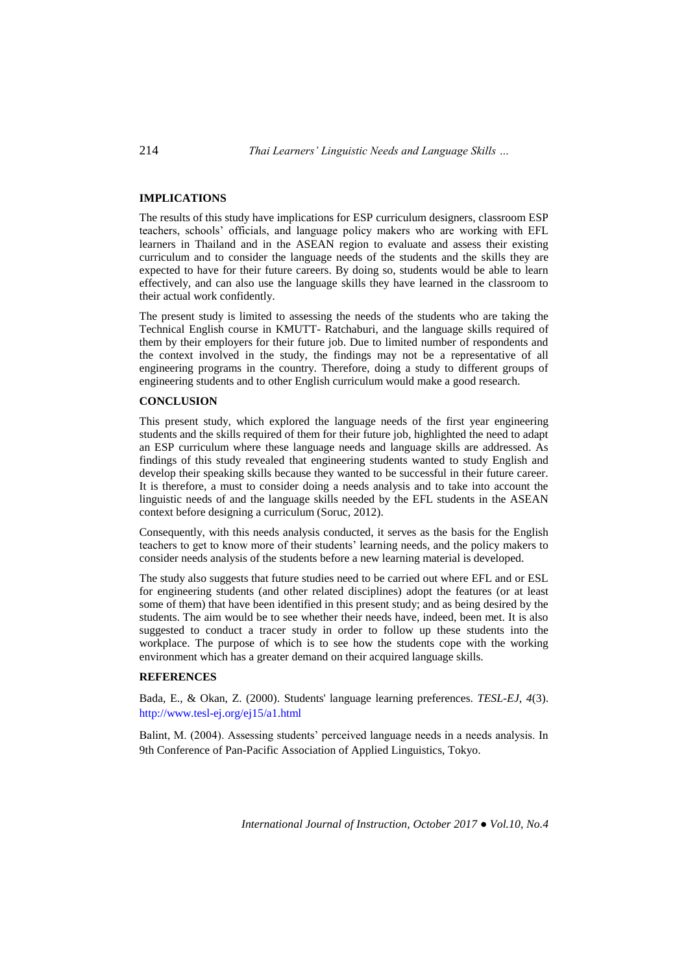## **IMPLICATIONS**

The results of this study have implications for ESP curriculum designers, classroom ESP teachers, schools' officials, and language policy makers who are working with EFL learners in Thailand and in the ASEAN region to evaluate and assess their existing curriculum and to consider the language needs of the students and the skills they are expected to have for their future careers. By doing so, students would be able to learn effectively, and can also use the language skills they have learned in the classroom to their actual work confidently.

The present study is limited to assessing the needs of the students who are taking the Technical English course in KMUTT- Ratchaburi, and the language skills required of them by their employers for their future job. Due to limited number of respondents and the context involved in the study, the findings may not be a representative of all engineering programs in the country. Therefore, doing a study to different groups of engineering students and to other English curriculum would make a good research.

## **CONCLUSION**

This present study, which explored the language needs of the first year engineering students and the skills required of them for their future job, highlighted the need to adapt an ESP curriculum where these language needs and language skills are addressed. As findings of this study revealed that engineering students wanted to study English and develop their speaking skills because they wanted to be successful in their future career. It is therefore, a must to consider doing a needs analysis and to take into account the linguistic needs of and the language skills needed by the EFL students in the ASEAN context before designing a curriculum (Soruc, 2012).

Consequently, with this needs analysis conducted, it serves as the basis for the English teachers to get to know more of their students' learning needs, and the policy makers to consider needs analysis of the students before a new learning material is developed.

The study also suggests that future studies need to be carried out where EFL and or ESL for engineering students (and other related disciplines) adopt the features (or at least some of them) that have been identified in this present study; and as being desired by the students. The aim would be to see whether their needs have, indeed, been met. It is also suggested to conduct a tracer study in order to follow up these students into the workplace. The purpose of which is to see how the students cope with the working environment which has a greater demand on their acquired language skills.

## **REFERENCES**

Bada, E., & Okan, Z. (2000). Students' language learning preferences. *TESL-EJ, 4*(3). <http://www.tesl-ej.org/ej15/a1.html>

Balint, M. (2004). Assessing students' perceived language needs in a needs analysis. In 9th Conference of Pan-Pacific Association of Applied Linguistics, Tokyo.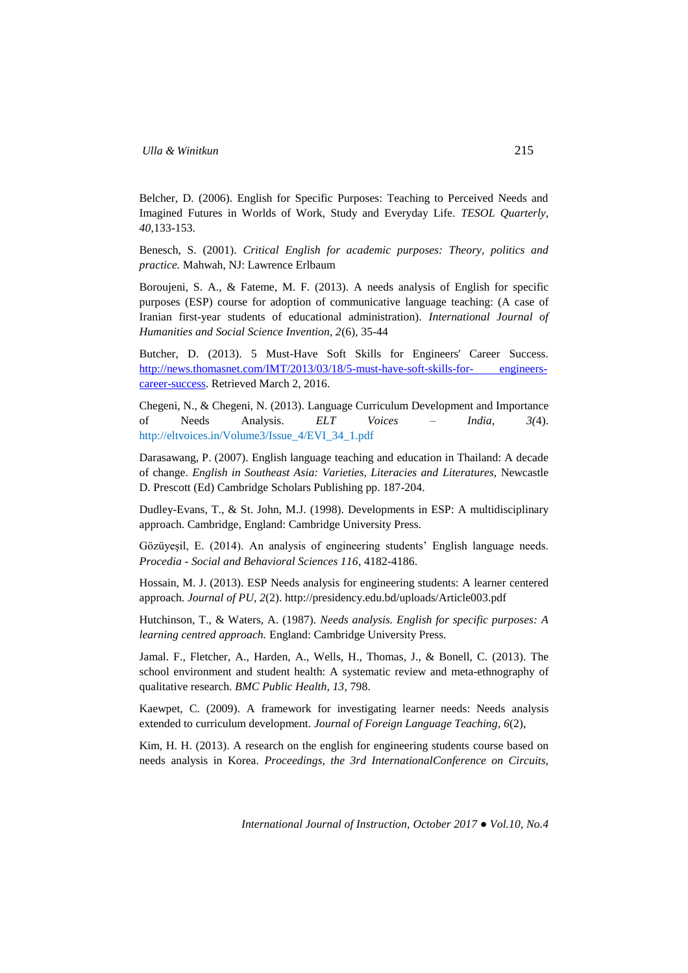Belcher, D. (2006). English for Specific Purposes: Teaching to Perceived Needs and Imagined Futures in Worlds of Work, Study and Everyday Life. *TESOL Quarterly, 40*,133-153.

Benesch, S. (2001). *Critical English for academic purposes: Theory, politics and practice.* Mahwah, NJ: Lawrence Erlbaum

Boroujeni, S. A., & Fateme, M. F. (2013). A needs analysis of English for specific purposes (ESP) course for adoption of communicative language teaching: (A case of Iranian first-year students of educational administration). *International Journal of Humanities and Social Science Invention, 2*(6), 35-44

Butcher, D. (2013). 5 Must-Have Soft Skills for Engineers' Career Success. [http://news.thomasnet.com/IMT/2013/03/18/5-must-have-soft-skills-for-](http://news.thomasnet.com/IMT/2013/03/18/5-must-have-soft-skills-for-engineers-career-success) engineers[career-success.](http://news.thomasnet.com/IMT/2013/03/18/5-must-have-soft-skills-for-engineers-career-success) Retrieved March 2, 2016.

Chegeni, N., & Chegeni, N. (2013). Language Curriculum Development and Importance of Needs Analysis. *ELT Voices – India, 3(*4). [http://eltvoices.in/Volume3/Issue\\_4/EVI\\_34\\_1.pdf](http://eltvoices.in/Volume3/Issue_4/EVI_34_1.pdf)

Darasawang, P. (2007). English language teaching and education in Thailand: A decade of change. *English in Southeast Asia: Varieties, Literacies and Literatures*, Newcastle D. Prescott (Ed) Cambridge Scholars Publishing pp. 187-204.

Dudley-Evans, T., & St. John, M.J. (1998). Developments in ESP: A multidisciplinary approach. Cambridge, England: Cambridge University Press.

Gözüyeşil, E. (2014). An analysis of engineering students' English language needs. *Procedia - Social and Behavioral Sciences 116*, 4182-4186.

Hossain, M. J. (2013). ESP Needs analysis for engineering students: A learner centered approach. *Journal of PU, 2*(2). <http://presidency.edu.bd/uploads/Article003.pdf>

Hutchinson, T., & Waters, A. (1987). *Needs analysis. English for specific purposes: A learning centred approach.* England: Cambridge University Press.

Jamal. F., Fletcher, A., Harden, A., Wells, H., Thomas, J., & Bonell, C. (2013). The school environment and student health: A systematic review and meta-ethnography of qualitative research. *BMC Public Health, 13*, 798.

Kaewpet, C. (2009). A framework for investigating learner needs: Needs analysis extended to curriculum development. *Journal of Foreign Language Teaching, 6*(2),

Kim, H. H. (2013). A research on the english for engineering students course based on needs analysis in Korea. *Proceedings, the 3rd InternationalConference on Circuits,*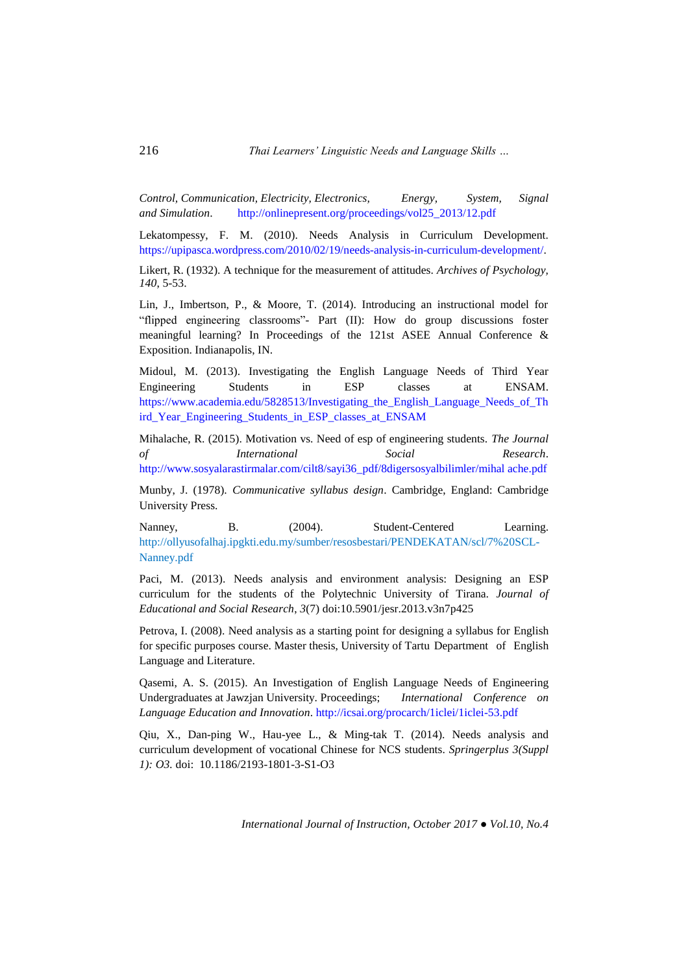*Control, Communication, Electricity, Electronics, Energy, System, Signal and Simulation*. [http://onlinepresent.org/proceedings/vol25\\_2013/12.pdf](http://onlinepresent.org/proceedings/vol25_2013/12.pdf)

Lekatompessy, F. M. (2010). Needs Analysis in Curriculum Development. [https://upipasca.wordpress.com/2010/02/19/needs-analysis-in-curriculum-development/.](https://upipasca.wordpress.com/2010/02/19/needs-analysis-in-curriculum-development/)

Likert, R. (1932). A technique for the measurement of attitudes. *Archives of Psychology, 140*, 5-53.

Lin, J., Imbertson, P., & Moore, T. (2014). Introducing an instructional model for "flipped engineering classrooms"- Part (II): How do group discussions foster meaningful learning? In Proceedings of the 121st ASEE Annual Conference & Exposition. Indianapolis, IN.

Midoul, M. (2013). Investigating the English Language Needs of Third Year Engineering Students in ESP classes at ENSAM. https://www.academia.edu/5828513/Investigating the English Language Needs of Th [ird\\_Year\\_Engineering\\_Students\\_in\\_ESP\\_classes\\_at\\_ENSAM](https://www.academia.edu/5828513/Investigating_the_English_Language_Needs_of_Third_Year_Engineering_Students_in_ESP_classes_at_ENSAM)

Mihalache, R. (2015). Motivation vs. Need of esp of engineering students. *The Journal of International Social Research*. [http://www.sosyalarastirmalar.com/cilt8/sayi36\\_pdf/8digersosyalbilimler/mihal ache.pdf](http://www.sosyalarastirmalar.com/cilt8/sayi36_pdf/8digersosyalbilimler/mihal%20ache.pdf)

Munby, J. (1978). *Communicative syllabus design*. Cambridge, England: Cambridge University Press.

Nanney, B. (2004). Student-Centered Learning. [http://ollyusofalhaj.ipgkti.edu.my/sumber/resosbestari/PENDEKATAN/scl/7%20](ttp://ollyusofalhaj.ipgkti.edu.my/sumber/resosbestari/PENDEKATAN/scl/7%252)SCL-Nanney.pdf

Paci, M. (2013). Needs analysis and environment analysis: Designing an ESP curriculum for the students of the Polytechnic University of Tirana*. Journal of Educational and Social Research*, *3*(7) doi:10.5901/jesr.2013.v3n7p425

Petrova, I. (2008). Need analysis as a starting point for designing a syllabus for English for specific purposes course. Master thesis, University of Tartu Department of English Language and Literature.

Qasemi, A. S. (2015). An Investigation of English Language Needs of Engineering Undergraduates at Jawzjan University. Proceedings; *International Conference on Language Education and Innovation*.<http://icsai.org/procarch/1iclei/1iclei-53.pdf>

Qiu, X., Dan-ping W., Hau-yee L., & Ming-tak T. (2014). Needs analysis and curriculum development of vocational Chinese for NCS students. *Springerplus 3(Suppl 1): O3.* doi: 10.1186/2193-1801-3-S1-O3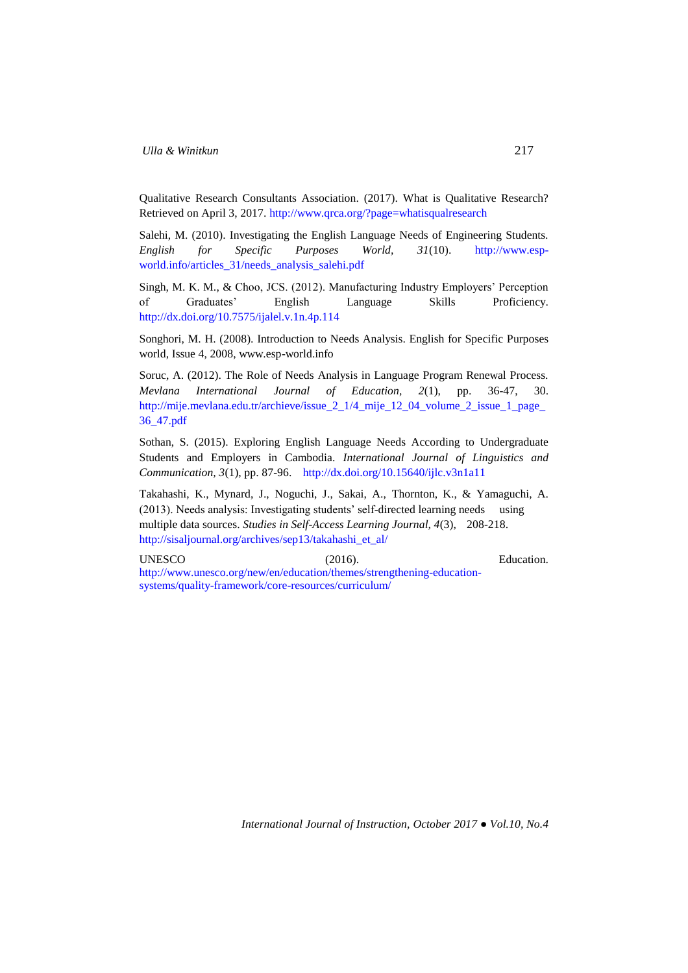Qualitative Research Consultants Association. (2017). What is Qualitative Research? Retrieved on April 3, 2017.<http://www.qrca.org/?page=whatisqualresearch>

Salehi, M. (2010). Investigating the English Language Needs of Engineering Students. *English for Specific Purposes World, 31*(10). [http://www.esp](http://www.esp-world.info/articles_31/needs_analysis_salehi.pdf)[world.info/articles\\_31/needs\\_analysis\\_salehi.pdf](http://www.esp-world.info/articles_31/needs_analysis_salehi.pdf)

Singh, M. K. M., & Choo, JCS. (2012). Manufacturing Industry Employers' Perception of Graduates' English Language Skills Proficiency. <http://dx.doi.org/10.7575/ijalel.v.1n.4p.114>

Songhori, M. H. (2008). Introduction to Needs Analysis. English for Specific Purposes world, Issue 4, 2008, www.esp-world.info

Soruc, A. (2012). The Role of Needs Analysis in Language Program Renewal Process. *Mevlana International Journal of Education, 2*(1), pp. 36-47, 30. [http://mije.mevlana.edu.tr/archieve/issue\\_2\\_1/4\\_mije\\_12\\_04\\_volume\\_2\\_issue\\_1\\_page\\_](http://mije.mevlana.edu.tr/archieve/issue_2_1/4_mije_12_04_volume_2_issue_1_page_36_47.pdf) [36\\_47.pdf](http://mije.mevlana.edu.tr/archieve/issue_2_1/4_mije_12_04_volume_2_issue_1_page_36_47.pdf)

Sothan, S. (2015). Exploring English Language Needs According to Undergraduate Students and Employers in Cambodia. *International Journal of Linguistics and Communication, 3*(1), pp. 87-96. <http://dx.doi.org/10.15640/ijlc.v3n1a11>

Takahashi, K., Mynard, J., Noguchi, J., Sakai, A., Thornton, K., & Yamaguchi, A. (2013). Needs analysis: Investigating students' self-directed learning needs using multiple data sources. *Studies in Self-Access Learning Journal, 4*(3), 208-218. [http://sisaljournal.org/archives/sep13/takahashi\\_et\\_al/](http://sisaljournal.org/archives/sep13/takahashi_et_al/)

UNESCO (2016). Education. [http://www.unesco.org/new/en/education/themes/strengthening-education](http://www.unesco.org/new/en/education/themes/strengthening-education-systems/quality-framework/core-resources/curriculum/)[systems/quality-framework/core-resources/curriculum/](http://www.unesco.org/new/en/education/themes/strengthening-education-systems/quality-framework/core-resources/curriculum/)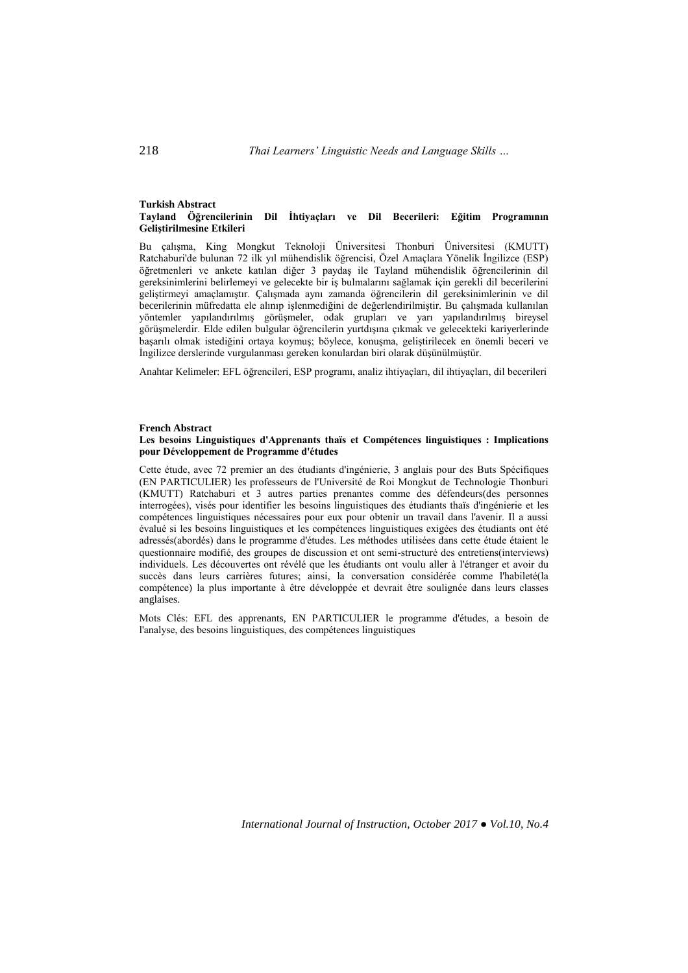#### **Turkish Abstract Tayland Öğrencilerinin Dil İhtiyaçları ve Dil Becerileri: Eğitim Programının Geliştirilmesine Etkileri**

Bu çalışma, King Mongkut Teknoloji Üniversitesi Thonburi Üniversitesi (KMUTT) Ratchaburi'de bulunan 72 ilk yıl mühendislik öğrencisi, Özel Amaçlara Yönelik İngilizce (ESP) öğretmenleri ve ankete katılan diğer 3 paydaş ile Tayland mühendislik öğrencilerinin dil gereksinimlerini belirlemeyi ve gelecekte bir iş bulmalarını sağlamak için gerekli dil becerilerini geliştirmeyi amaçlamıştır. Çalışmada aynı zamanda öğrencilerin dil gereksinimlerinin ve dil becerilerinin müfredatta ele alınıp işlenmediğini de değerlendirilmiştir. Bu çalışmada kullanılan yöntemler yapılandırılmış görüşmeler, odak grupları ve yarı yapılandırılmış bireysel görüşmelerdir. Elde edilen bulgular öğrencilerin yurtdışına çıkmak ve gelecekteki kariyerlerinde başarılı olmak istediğini ortaya koymuş; böylece, konuşma, geliştirilecek en önemli beceri ve İngilizce derslerinde vurgulanması gereken konulardan biri olarak düşünülmüştür.

Anahtar Kelimeler: EFL öğrencileri, ESP programı, analiz ihtiyaçları, dil ihtiyaçları, dil becerileri

### **French Abstract**

#### **Les besoins Linguistiques d'Apprenants thaïs et Compétences linguistiques : Implications pour Développement de Programme d'études**

Cette étude, avec 72 premier an des étudiants d'ingénierie, 3 anglais pour des Buts Spécifiques (EN PARTICULIER) les professeurs de l'Université de Roi Mongkut de Technologie Thonburi (KMUTT) Ratchaburi et 3 autres parties prenantes comme des défendeurs(des personnes interrogées), visés pour identifier les besoins linguistiques des étudiants thaïs d'ingénierie et les compétences linguistiques nécessaires pour eux pour obtenir un travail dans l'avenir. Il a aussi évalué si les besoins linguistiques et les compétences linguistiques exigées des étudiants ont été adressés(abordés) dans le programme d'études. Les méthodes utilisées dans cette étude étaient le questionnaire modifié, des groupes de discussion et ont semi-structuré des entretiens(interviews) individuels. Les découvertes ont révélé que les étudiants ont voulu aller à l'étranger et avoir du succès dans leurs carrières futures; ainsi, la conversation considérée comme l'habileté(la compétence) la plus importante à être développée et devrait être soulignée dans leurs classes anglaises.

Mots Clés: EFL des apprenants, EN PARTICULIER le programme d'études, a besoin de l'analyse, des besoins linguistiques, des compétences linguistiques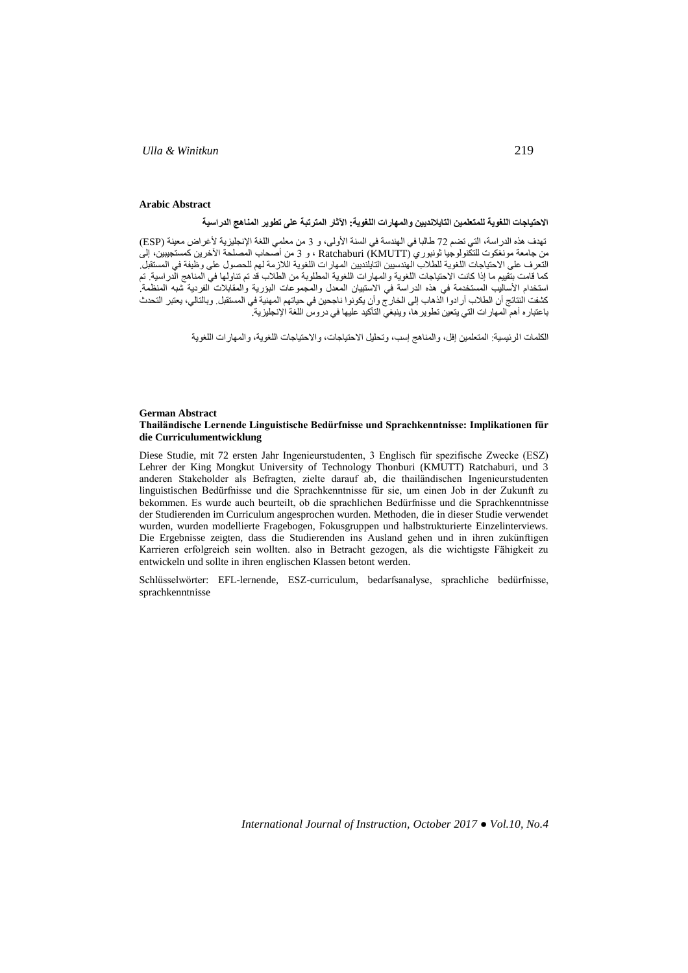#### **Arabic Abstract**

**االحتياجات اللغوية للمتعلمين التايالنديين والمهارات اللغوية: اآلثار المترتبة على تطوير المناهج الدراسية**

تهدف هذه الدراسة، التي تضم 72 طالبا في الهندسة في السنة الأولى، و 3 من معلمي اللغة الإنجليزية لأغراض معينة (ESP من جامعة مونغكوت للتكنولوجيا ثونبوري (Ratchaburi (KMUTT ) ، و 3 من اصحاب المصلحة الأخرين كمستجيبين، إلى التعرف على االحتياجات اللغوية للطالب الهندسيين التايلنديين المهارات اللغوية الالزمة لهم للحصول على وظيفة في المستقبل. كما قامت بتقييم ما إذا كانت االحتياجات اللغوية والمهارات اللغوية المطلوبة من الطالب قد تم تناولها في المناهج الدراسية. تم استخدام األساليب المستخدمة في هذه الدراسة في االستبيان المعدل والمجموعات البؤرية والمقابالت الفردية شبه المنظمة. كشفت النتائج أن الطالب أرادوا الذهاب إلى الخارج وأن يكونوا ناجحين في حياتهم المهنية في المستقبل. وبالتالي، يعتبر التحدث باعتباره أهم المهارات التي يتعين تطويرها، وينبغي التأكيد عليها في دروس اللغة اإلنجليزية.

الكلمات الرئيسية: المتعلمين إفل، والمناهج إسب، وتحليل االحتياجات، واالحتياجات اللغوية، والمهارات اللغوية

### **German Abstract Thailändische Lernende Linguistische Bedürfnisse und Sprachkenntnisse: Implikationen für die Curriculumentwicklung**

Diese Studie, mit 72 ersten Jahr Ingenieurstudenten, 3 Englisch für spezifische Zwecke (ESZ) Lehrer der King Mongkut University of Technology Thonburi (KMUTT) Ratchaburi, und 3 anderen Stakeholder als Befragten, zielte darauf ab, die thailändischen Ingenieurstudenten linguistischen Bedürfnisse und die Sprachkenntnisse für sie, um einen Job in der Zukunft zu bekommen. Es wurde auch beurteilt, ob die sprachlichen Bedürfnisse und die Sprachkenntnisse der Studierenden im Curriculum angesprochen wurden. Methoden, die in dieser Studie verwendet wurden, wurden modellierte Fragebogen, Fokusgruppen und halbstrukturierte Einzelinterviews. Die Ergebnisse zeigten, dass die Studierenden ins Ausland gehen und in ihren zukünftigen Karrieren erfolgreich sein wollten. also in Betracht gezogen, als die wichtigste Fähigkeit zu entwickeln und sollte in ihren englischen Klassen betont werden.

Schlüsselwörter: EFL-lernende, ESZ-curriculum, bedarfsanalyse, sprachliche bedürfnisse, sprachkenntnisse